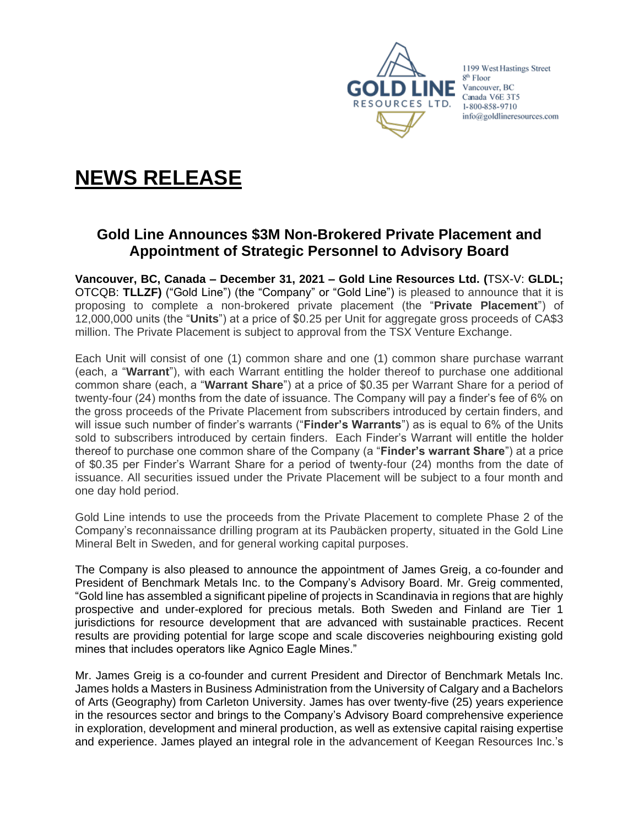

1199 West Hastings Street 8<sup>th</sup> Floor Vancouver, BC Canada V6E 3T5 1-800-858-9710 info@goldlineresources.com

# **NEWS RELEASE**

## **Gold Line Announces \$3M Non-Brokered Private Placement and Appointment of Strategic Personnel to Advisory Board**

**Vancouver, BC, Canada – December 31, 2021 – Gold Line Resources Ltd. (**TSX-V: **GLDL;**  OTCQB: **TLLZF)** ("Gold Line") (the "Company" or "Gold Line") is pleased to announce that it is proposing to complete a non-brokered private placement (the "**Private Placement**") of 12,000,000 units (the "**Units**") at a price of \$0.25 per Unit for aggregate gross proceeds of CA\$3 million. The Private Placement is subject to approval from the TSX Venture Exchange.

Each Unit will consist of one (1) common share and one (1) common share purchase warrant (each, a "**Warrant**"), with each Warrant entitling the holder thereof to purchase one additional common share (each, a "**Warrant Share**") at a price of \$0.35 per Warrant Share for a period of twenty-four (24) months from the date of issuance. The Company will pay a finder's fee of 6% on the gross proceeds of the Private Placement from subscribers introduced by certain finders, and will issue such number of finder's warrants ("**Finder's Warrants**") as is equal to 6% of the Units sold to subscribers introduced by certain finders. Each Finder's Warrant will entitle the holder thereof to purchase one common share of the Company (a "**Finder's warrant Share**") at a price of \$0.35 per Finder's Warrant Share for a period of twenty-four (24) months from the date of issuance. All securities issued under the Private Placement will be subject to a four month and one day hold period.

Gold Line intends to use the proceeds from the Private Placement to complete Phase 2 of the Company's reconnaissance drilling program at its Paubäcken property, situated in the Gold Line Mineral Belt in Sweden, and for general working capital purposes.

The Company is also pleased to announce the appointment of James Greig, a co-founder and President of Benchmark Metals Inc. to the Company's Advisory Board. Mr. Greig commented, "Gold line has assembled a significant pipeline of projects in Scandinavia in regions that are highly prospective and under-explored for precious metals. Both Sweden and Finland are Tier 1 jurisdictions for resource development that are advanced with sustainable practices. Recent results are providing potential for large scope and scale discoveries neighbouring existing gold mines that includes operators like Agnico Eagle Mines."

Mr. James Greig is a co-founder and current President and Director of Benchmark Metals Inc. James holds a Masters in Business Administration from the University of Calgary and a Bachelors of Arts (Geography) from Carleton University. James has over twenty-five (25) years experience in the resources sector and brings to the Company's Advisory Board comprehensive experience in exploration, development and mineral production, as well as extensive capital raising expertise and experience. James played an integral role in the advancement of Keegan Resources Inc.'s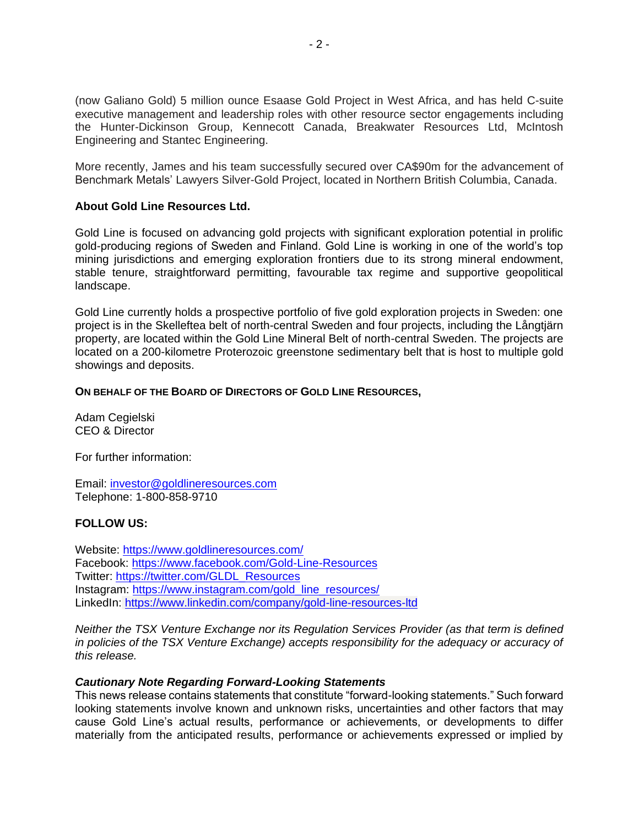(now Galiano Gold) 5 million ounce Esaase Gold Project in West Africa, and has held C-suite executive management and leadership roles with other resource sector engagements including the Hunter-Dickinson Group, Kennecott Canada, Breakwater Resources Ltd, McIntosh Engineering and Stantec Engineering.

More recently, James and his team successfully secured over CA\$90m for the advancement of Benchmark Metals' Lawyers Silver-Gold Project, located in Northern British Columbia, Canada.

#### **About Gold Line Resources Ltd.**

Gold Line is focused on advancing gold projects with significant exploration potential in prolific gold-producing regions of Sweden and Finland. Gold Line is working in one of the world's top mining jurisdictions and emerging exploration frontiers due to its strong mineral endowment, stable tenure, straightforward permitting, favourable tax regime and supportive geopolitical landscape.

Gold Line currently holds a prospective portfolio of five gold exploration projects in Sweden: one project is in the Skelleftea belt of north-central Sweden and four projects, including the Långtjärn property, are located within the Gold Line Mineral Belt of north-central Sweden. The projects are located on a 200-kilometre Proterozoic greenstone sedimentary belt that is host to multiple gold showings and deposits.

#### **ON BEHALF OF THE BOARD OF DIRECTORS OF GOLD LINE RESOURCES,**

Adam Cegielski CEO & Director

For further information:

Email: [investor@goldlineresources.com](mailto:investor@goldlineresources.com) Telephone: 1-800-858-9710

### **FOLLOW US:**

Website:<https://www.goldlineresources.com/> Facebook:<https://www.facebook.com/Gold-Line-Resources> Twitter: [https://twitter.com/GLDL\\_Resources](https://twitter.com/GLDL_Resources) Instagram: [https://www.instagram.com/gold\\_line\\_resources/](https://www.instagram.com/gold_line_resources/) LinkedIn: <https://www.linkedin.com/company/gold-line-resources-ltd>

*Neither the TSX Venture Exchange nor its Regulation Services Provider (as that term is defined in policies of the TSX Venture Exchange) accepts responsibility for the adequacy or accuracy of this release.*

#### *Cautionary Note Regarding Forward-Looking Statements*

This news release contains statements that constitute "forward-looking statements." Such forward looking statements involve known and unknown risks, uncertainties and other factors that may cause Gold Line's actual results, performance or achievements, or developments to differ materially from the anticipated results, performance or achievements expressed or implied by